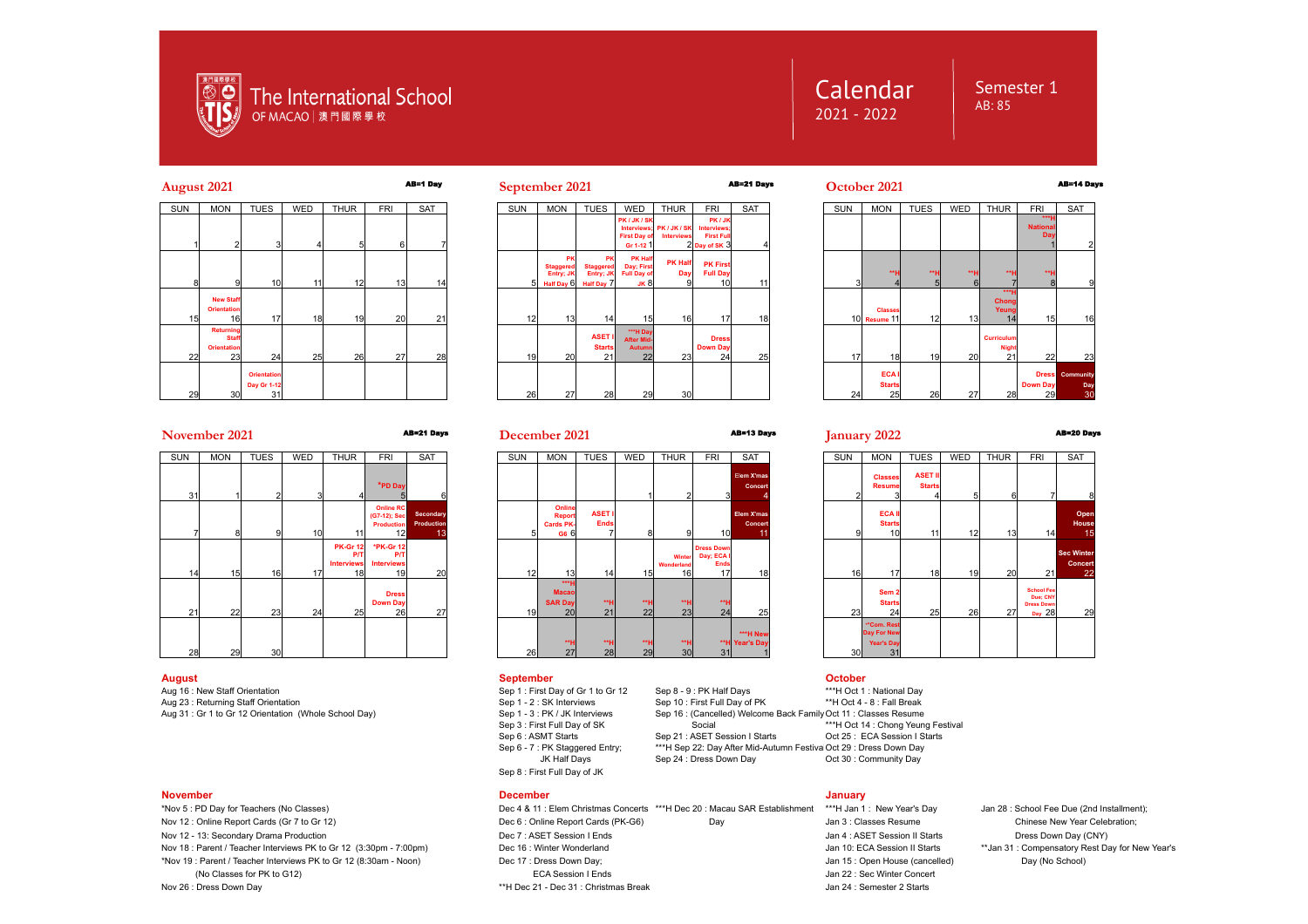

# Calendar 2021 - 2022

# Semester 1  $AR.85$







# **November 2021** AB=21 Days AB=13 Days **January 2022** AB=20 Days

| <b>SUN</b> | <b>MON</b><br><b>TUES</b> |                 | WED | <b>THUR</b>                                       | <b>FRI</b>                                                  | <b>SAT</b>                           | <b>SUN</b> |
|------------|---------------------------|-----------------|-----|---------------------------------------------------|-------------------------------------------------------------|--------------------------------------|------------|
| 31         |                           | $\overline{2}$  | 3   | 4                                                 | *PD Day<br>5                                                | 6                                    |            |
| 7          | 8                         | 9               | 10  | 11                                                | <b>Online RC</b><br>(G7-12); Sec<br><b>Production</b><br>12 | Secondary<br><b>Production</b><br>13 | 5          |
| 14         | 15                        | 16              | 17  | <b>PK-Gr 12</b><br>P/T<br><b>Interviews</b><br>18 | *PK-Gr 12<br><b>P/T</b><br><b>Interviews</b><br>19          | 20                                   | 12         |
| 21         | 22                        | 23              | 24  | 25                                                | <b>Dress</b><br><b>Down Day</b><br>26                       | 27                                   | 19         |
| 28         | 29                        | 30 <sup>1</sup> |     |                                                   |                                                             |                                      | 26         |

Aug 16 : New Staff Orientation Staff Orientation Sep 1 : First Day of Gr 1 to Gr 12 Sep 8 - 9 : PK Half Days \*\*\*H Oct 1 : National Day<br>Sep 10 : First Full Day of PK \*\*\*H Oct 4 - 8 : Fall Break Aug 23 : Returning Staff Orientation<br>Aug 31 : Gr 1 to Gr 12 Orientation (Whole School Day)

### **November December January**

Nov 18 : Parent / Teacher Interviews PK to Gr 12 (3:30pm - 7:00pm)

**December 2021**



### **August September October**

Sep 6 : ASMT Starts Sep 21 : ASET Session I Starts Sep 6 - 7 : PK Staggered Entry; The Mater 22: Day After Mid-Autu Sep 8 : First Full Day of JK

\*Nov 5 : PD Day for Teachers (No Classes) Dec 4 & 11 : Elem Christmas Concerts \*\*\*H Dec 20 : Macau SAR Establishment \*\*\*H Jan 1 : New Year's Day Jan 28 : School Fee Due (2nd Installment); Nov 12 : Online Report Cards (Gr 7 to Gr 12) **Dec 6** : Online Report Cards (PK-G6) Day Jan 3 : Classes Resume Chinese New Year Celebration; Nov 12 - 13: Secondary Drama Production Decriton Decriton Decriton Decriton Decriton Decriton Decriton Decriton<br>Nov 18: Parent / Teacher Interviews PK to Gr 12 (3:30pm - 7:00pm) Dec 16: Winter Wonderland Number 20: Nov 18<br> \*Nov 19 : Parent / Teacher Interviews PK to Gr 12 (8:30am - Noon) Dec 17 : Dress Down Day; Jan 15 : Open House (cancelled) Day (No School) (No Classes for PK to G12) The Secret of the Session I Ends Jan 22 : Sec Winter Concert Nov 26 : Dress Down Day Jan 24 : Semester 2 Starts Nov 26 : Dress Down Day 31 : Christmas Break Jan 24 : Semester 2 Starts

Sep 24 : Dress Down Day

|                       | <b>SAT</b>                  | <b>SUN</b>      | <b>MON</b>                                                   | <b>TUES</b>                          | WED | <b>THUR</b> | <b>FRI</b>                                                   | <b>SAT</b>                                |
|-----------------------|-----------------------------|-----------------|--------------------------------------------------------------|--------------------------------------|-----|-------------|--------------------------------------------------------------|-------------------------------------------|
| 3                     | Elem X'mas<br>Concert       | $\overline{2}$  | <b>Classes</b><br><b>Resume</b><br>3                         | <b>ASET II</b><br><b>Starts</b><br>4 | 5   | 6           |                                                              | 8                                         |
| 10                    | Elem X'mas<br>Concert<br>11 | 9               | <b>ECAII</b><br><b>Starts</b><br>10 <sub>l</sub>             | 11                                   | 12  | 13          | 14                                                           | Open<br><b>House</b><br>15                |
| wn<br>ăА<br>nds<br>17 | 18                          | 16I             | 17                                                           | 18                                   | 19  | <b>20</b>   | 21                                                           | <b>Sec Winter</b><br><b>Concert</b><br>22 |
| ٠н<br>24              | 25                          | 23              | Sem <sub>2</sub><br><b>Starts</b><br>24                      | 25                                   | 26  | 27          | <b>School Fee</b><br>Due; CNY<br><b>Dress Down</b><br>Day 28 | 29                                        |
| 31                    | ***H New<br>"H Year's Day   | 30 <sup>1</sup> | **Com. Rest<br><b>Day For New</b><br><b>Year's Day</b><br>31 |                                      |     |             |                                                              |                                           |

Aug 31 : First Full Dav of Sky Sep 16 : (Cancelled) Welcome Back Family Oct 11 : Classes Resume<br>Sep 3 : First Full Dav of SK Social Social New Social \*\*\*H Oct 14 : Chong Yeun Sep 3 : First Full Day of SK Social Sep 3 : First Full Day of SK Social Sep 6 : ASMT Starts Sep 6 : ASMT Starts Sep 21 : ASET Session I Starts Oct 25 : ECA Session I Starts Sep 22: Day After Mid-Autumn Festiva Oct 29 : Dress Down Day<br>JK Half Days Sep 24 : Dress Down Day Cot 30 : Community Day